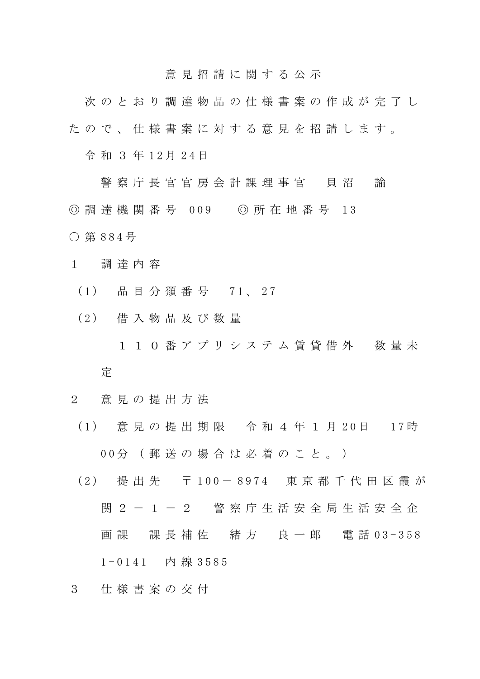## 意 見 招 請 に 関 す る 公 示

次 の と お り 調 達 物 品 の 仕 様 書 案 の 作 成 が 完 了 し た の で 、 仕 様 書 案 に 対 す る 意 見 を 招 請 し ま す 。

令和 3年12月24日

警 察 庁 長 官 官 房 会 計 課 理 事 官 貝 沼 諭 ◎ 調 達 機 関 番 号 009 ◎ 所 在 地 番 号 13 ○ 第 8 8 4 号

- 1 調 達 内 容
	- (1) 品目分類番号 71、27
	- ( 2 ) 借 入 物 品 及 び 数 量
		- 1 1 0 番アプリシステム賃貸借外 数量未 定
- 2 意 見 の 提 出 方 法
	- ( 1 ) 意 見 の 提 出 期 限 令 和 4 年 1 月 2 0 日 1 7 時 0 0 分 ( 郵 送 の 場 合 は 必 着 の こ と 。 )
	- ( 2 ) 提 出 先 〒 1 0 0 8 9 7 4 東 京 都 千 代 田 区 霞 が 関 2 - 1 - 2 警察 庁 生 活 安 全 局 生 活 安 全 企 画 課 課 長 補 佐 緒 方 良 一 郎 電 話 03-358  $1 - 0141$  内線 3585
- 3 仕 様 書 案 の 交 付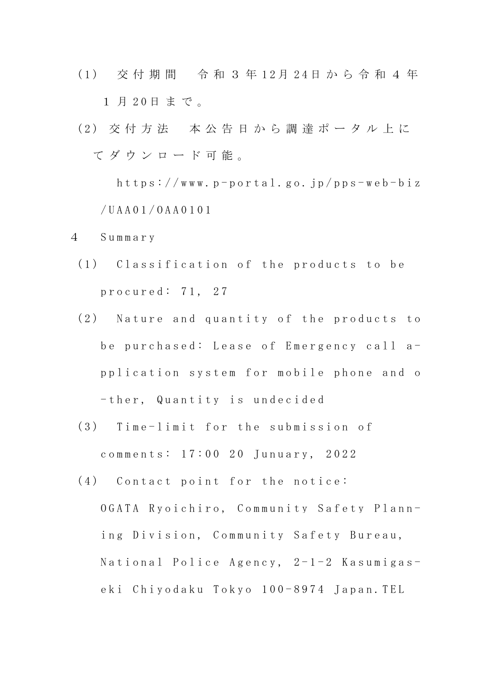- ( 1 ) 交 付 期 間 令 和 3 年 1 2 月 2 4 日 か ら 令 和 4 年 1 月 20日まで。
- (2) 交付方法 本公告日から調達ポータル上に て ダ ウ ン ロ ー ド 可 能 。

 $h$ ttps://www.p-portal.go.jp/pps-web-biz / U A A 0 1 / O A A 0 1 0 1

- 4 S u m m a r y
	- (1) Classification of the products to be p r o c u r e d : 71, 27
	- (2) Nature and quantity of the products to be purchased: Lease of Emergency call ap p l i c a t i on system for mobile phone and o - ther, Quantity is undecided
	- (3) Time-limit for the submission of comments: 17:00 20 Junuary, 2022
	- $(4)$  Contact point for the notice:
		- OGATA Ryoichiro, Community Safety Planning Division, Community Safety Bureau, National Police Agency,  $2-1-2$  Kasumigaseki Chiyodaku Tokyo 100-8974 Japan. TEL